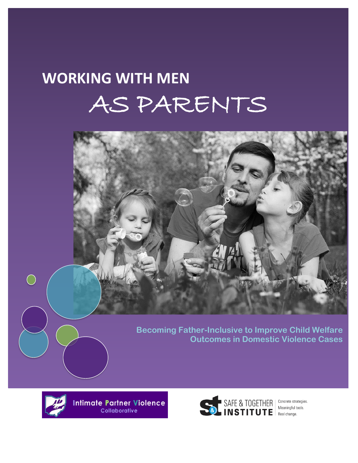# **WORKING WITH MEN**  AS PARENTS



**Becoming Father-Inclusive to Improve Child Welfare Outcomes in Domestic Violence Cases**



 $\bigcirc$ 

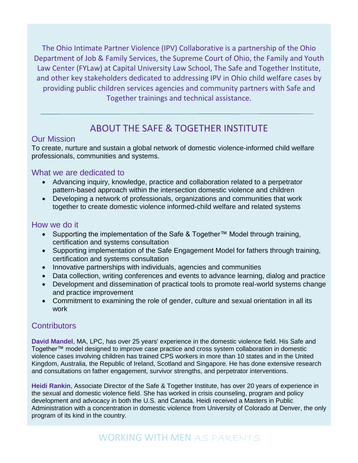The Ohio Intimate Partner Violence (IPV) Collaborative is a partnership of the Ohio Department of Job & Family Services, the Supreme Court of Ohio, the Family and Youth Law Center (FYLaw) at Capital University Law School, The Safe and Together Institute, and other key stakeholders dedicated to addressing IPV in Ohio child welfare cases by providing public children services agencies and community partners with Safe and Together trainings and technical assistance.

## ABOUT THE SAFE & TOGETHER INSTITUTE

## Our Mission

To create, nurture and sustain a global network of domestic violence-informed child welfare professionals, communities and systems.

## What we are dedicated to

- Advancing inquiry, knowledge, practice and collaboration related to a perpetrator pattern-based approach within the intersection domestic violence and children
- Developing a network of professionals, organizations and communities that work together to create domestic violence informed-child welfare and related systems

## How we do it

- Supporting the implementation of the Safe & Together™ Model through training, certification and systems consultation
- Supporting implementation of the Safe Engagement Model for fathers through training, certification and systems consultation
- Innovative partnerships with individuals, agencies and communities
- Data collection, writing conferences and events to advance learning, dialog and practice
- Development and dissemination of practical tools to promote real-world systems change and practice improvement
- Commitment to examining the role of gender, culture and sexual orientation in all its work

## **Contributors**

**David Mandel**, MA, LPC, has over 25 years' experience in the domestic violence field. His Safe and Together™ model designed to improve case practice and cross system collaboration in domestic violence cases involving children has trained CPS workers in more than 10 states and in the United Kingdom, Australia, the Republic of Ireland, Scotland and Singapore. He has done extensive research and consultations on father engagement, survivor strengths, and perpetrator interventions.

**Heidi Rankin**, Associate Director of the Safe & Together Institute, has over 20 years of experience in the sexual and domestic violence field. She has worked in crisis counseling, program and policy development and advocacy in both the U.S. and Canada. Heidi received a Masters in Public Administration with a concentration in domestic violence from University of Colorado at Denver, the only program of its kind in the country.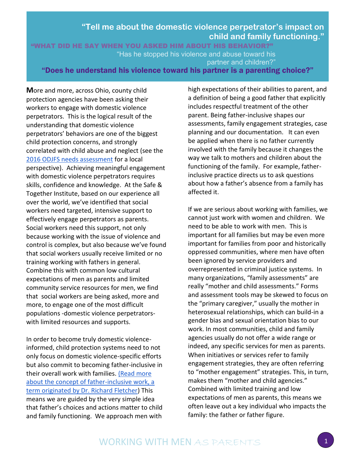## **"Tell me about the domestic violence perpetrator's impact on child and family functioning."**

"WHAT DID HE SAY WHEN YOU ASKED HIM ABOUT HIS BEHAVIOR?" "Has he stopped his violence and abuse toward his partner and children?"

"Does he understand his violence toward his partner is a parenting choice?"

**M**ore and more, across Ohio, county child protection agencies have been asking their workers to engage with domestic violence perpetrators. This is the logical result of the understanding that domestic violence perpetrators' behaviors are one of the biggest child protection concerns, and strongly correlated with child abuse and neglect (see the [2016 ODJFS needs assessment](http://jfs.ohio.gov/ocf/reports-plans-and-presentations.stm) for a local perspective). Achieving meaningful engagement with domestic violence perpetrators requires skills, confidence and knowledge. At the Safe & Together Institute, based on our experience all over the world, we've identified that social workers need targeted, intensive support to effectively engage perpetrators as parents. Social workers need this support, not only because working with the issue of violence and control is complex, but also because we've found that social workers usually receive limited or no training working with fathers in general. Combine this with common low cultural expectations of men as parents and limited community service resources for men, we find that social workers are being asked, more and more, to engage one of the most difficult populations -domestic violence perpetratorswith limited resources and supports.

In order to become truly domestic violenceinformed, child protection systems need to not only focus on domestic violence-specific efforts but also commit to becoming father-inclusive in their overall work with families. [\(Read more](https://www.dss.gov.au/sites/default/files/documents/father_inclusive_practice.pdf)  [about the concept of father-inclusive work, a](https://www.dss.gov.au/sites/default/files/documents/father_inclusive_practice.pdf)  [term originated by Dr. Richard Fletcher\)](https://www.dss.gov.au/sites/default/files/documents/father_inclusive_practice.pdf) This means we are guided by the very simple idea that father's choices and actions matter to child and family functioning. We approach men with

high expectations of their abilities to parent, and a definition of being a good father that explicitly includes respectful treatment of the other parent. Being father-inclusive shapes our assessments, family engagement strategies, case planning and our documentation. It can even be applied when there is no father currently involved with the family because it changes the way we talk to mothers and children about the functioning of the family. For example, fatherinclusive practice directs us to ask questions about how a father's absence from a family has affected it.

If we are serious about working with families, we cannot just work with women and children. We need to be able to work with men. This is important for all families but may be even more important for families from poor and historically oppressed communities, where men have often been ignored by service providers and overrepresented in criminal justice systems. In many organizations, "family assessments" are really "mother and child assessments." Forms and assessment tools may be skewed to focus on the "primary caregiver," usually the mother in heterosexual relationships, which can build-in a gender bias and sexual orientation bias to our work. In most communities, child and family agencies usually do not offer a wide range or indeed, any specific services for men as parents. When initiatives or services refer to family engagement strategies, they are often referring to "mother engagement" strategies. This, in turn, makes them "mother and child agencies." Combined with limited training and low expectations of men as parents, this means we often leave out a key individual who impacts the family: the father or father figure.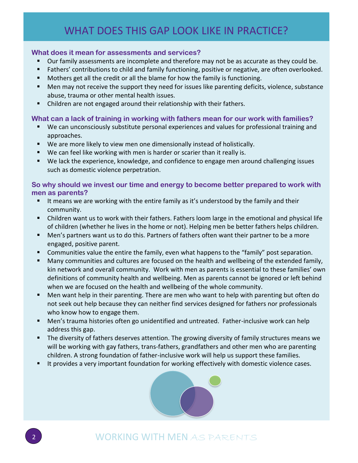# WHAT DOES THIS GAP LOOK LIKE IN PRACTICE?

#### **What does it mean for assessments and services?**

- Our family assessments are incomplete and therefore may not be as accurate as they could be.
- **Fathers' contributions to child and family functioning, positive or negative, are often overlooked.**
- **Mothers get all the credit or all the blame for how the family is functioning.**
- Men may not receive the support they need for issues like parenting deficits, violence, substance abuse, trauma or other mental health issues.
- Children are not engaged around their relationship with their fathers.

### **What can a lack of training in working with fathers mean for our work with families?**

- We can unconsciously substitute personal experiences and values for professional training and approaches.
- We are more likely to view men one dimensionally instead of holistically.
- We can feel like working with men is harder or scarier than it really is.
- We lack the experience, knowledge, and confidence to engage men around challenging issues such as domestic violence perpetration.

### **So why should we invest our time and energy to become better prepared to work with men as parents?**

- It means we are working with the entire family as it's understood by the family and their community.
- Children want us to work with their fathers. Fathers loom large in the emotional and physical life of children (whether he lives in the home or not). Helping men be better fathers helps children.
- Men's partners want us to do this. Partners of fathers often want their partner to be a more engaged, positive parent.
- Communities value the entire the family, even what happens to the "family" post separation.
- **Many communities and cultures are focused on the health and wellbeing of the extended family,** kin network and overall community. Work with men as parents is essential to these families' own definitions of community health and wellbeing. Men as parents cannot be ignored or left behind when we are focused on the health and wellbeing of the whole community.
- Men want help in their parenting. There are men who want to help with parenting but often do not seek out help because they can neither find services designed for fathers nor professionals who know how to engage them.
- Men's trauma histories often go unidentified and untreated. Father-inclusive work can help address this gap.
- The diversity of fathers deserves attention. The growing diversity of family structures means we will be working with gay fathers, trans-fathers, grandfathers and other men who are parenting children. A strong foundation of father-inclusive work will help us support these families.
- It provides a very important foundation for working effectively with domestic violence cases.



## <sup>2</sup> WORKING WITH MEN AS PARENTS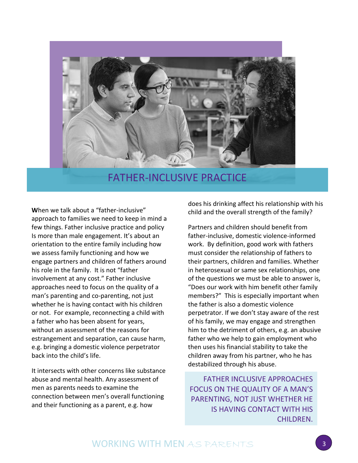

## FATHER-INCLUSIVE PRACTICE

**W**hen we talk about a "father-inclusive" approach to families we need to keep in mind a few things. Father inclusive practice and policy Is more than male engagement. It's about an orientation to the entire family including how we assess family functioning and how we engage partners and children of fathers around his role in the family. It is not "father involvement at any cost." Father inclusive approaches need to focus on the quality of a man's parenting and co-parenting, not just whether he is having contact with his children or not. For example, reconnecting a child with a father who has been absent for years, without an assessment of the reasons for estrangement and separation, can cause harm, e.g. bringing a domestic violence perpetrator back into the child's life.

It intersects with other concerns like substance abuse and mental health. Any assessment of men as parents needs to examine the connection between men's overall functioning and their functioning as a parent, e.g. how

does his drinking affect his relationship with his child and the overall strength of the family?

Partners and children should benefit from father-inclusive, domestic violence-informed work. By definition, good work with fathers must consider the relationship of fathers to their partners, children and families. Whether in heterosexual or same sex relationships, one of the questions we must be able to answer is, "Does our work with him benefit other family members?" This is especially important when the father is also a domestic violence perpetrator. If we don't stay aware of the rest of his family, we may engage and strengthen him to the detriment of others, e.g. an abusive father who we help to gain employment who then uses his financial stability to take the children away from his partner, who he has destabilized through his abuse.

FATHER INCLUSIVE APPROACHES FOCUS ON THE QUALITY OF A MAN'S PARENTING, NOT JUST WHETHER HE IS HAVING CONTACT WITH HIS CHILDREN.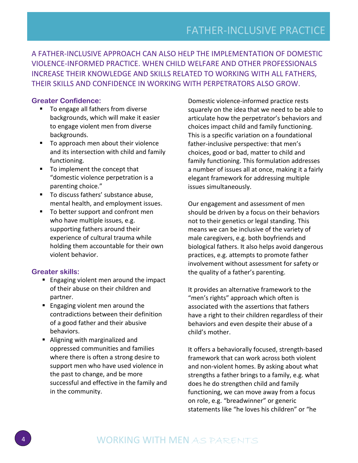A FATHER-INCLUSIVE APPROACH CAN ALSO HELP THE IMPLEMENTATION OF DOMESTIC VIOLENCE-INFORMED PRACTICE. WHEN CHILD WELFARE AND OTHER PROFESSIONALS INCREASE THEIR KNOWLEDGE AND SKILLS RELATED TO WORKING WITH ALL FATHERS, THEIR SKILLS AND CONFIDENCE IN WORKING WITH PERPETRATORS ALSO GROW.

#### **Greater Confidence:**

- To engage all fathers from diverse backgrounds, which will make it easier to engage violent men from diverse backgrounds.
- To approach men about their violence and its intersection with child and family functioning.
- To implement the concept that "domestic violence perpetration is a parenting choice."
- To discuss fathers' substance abuse, mental health, and employment issues.
- To better support and confront men who have multiple issues, e.g. supporting fathers around their experience of cultural trauma while holding them accountable for their own violent behavior.

#### **Greater skills:**

- **Engaging violent men around the impact** of their abuse on their children and partner.
- **Engaging violent men around the** contradictions between their definition of a good father and their abusive behaviors.
- Aligning with marginalized and oppressed communities and families where there is often a strong desire to support men who have used violence in the past to change, and be more successful and effective in the family and in the community.

Domestic violence-informed practice rests squarely on the idea that we need to be able to articulate how the perpetrator's behaviors and choices impact child and family functioning. This is a specific variation on a foundational father-inclusive perspective: that men's choices, good or bad, matter to child and family functioning. This formulation addresses a number of issues all at once, making it a fairly elegant framework for addressing multiple issues simultaneously.

Our engagement and assessment of men should be driven by a focus on their behaviors not to their genetics or legal standing. This means we can be inclusive of the variety of male caregivers, e.g. both boyfriends and biological fathers. It also helps avoid dangerous practices, e.g. attempts to promote father involvement without assessment for safety or the quality of a father's parenting.

It provides an alternative framework to the "men's rights" approach which often is associated with the assertions that fathers have a right to their children regardless of their behaviors and even despite their abuse of a child's mother.

It offers a behaviorally focused, strength-based framework that can work across both violent and non-violent homes. By asking about what strengths a father brings to a family, e.g. what does he do strengthen child and family functioning, we can move away from a focus on role, e.g. "breadwinner" or generic statements like "he loves his children" or "he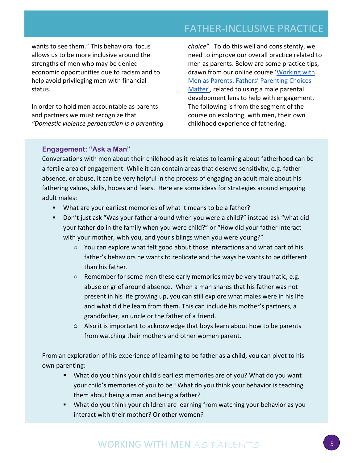# FATHER-INCLUSIVE PRACTICE

wants to see them." This behavioral focus allows us to be more inclusive around the strengths of men who may be denied economic opportunities due to racism and to help avoid privileging men with financial status.

In order to hold men accountable as parents and partners we must recognize that *"Domestic violence perpetration is a parenting*  *choice"*. To do this well and consistently, we need to improve our overall practice related to men as parents. Below are some practice tips, drawn from our online course '[Working with](https://safeandtogetherinstitute.com/working-with-men-as-parents-fathers-parenting-choices-matter/) [Men as Parents: Fathers' Parenting Choices](https://safeandtogetherinstitute.com/working-with-men-as-parents-fathers-parenting-choices-matter/)  [Matter'](https://safeandtogetherinstitute.com/working-with-men-as-parents-fathers-parenting-choices-matter/), related to using a male parental development lens to help with engagement. The following is from the segment of the course on exploring, with men, their own childhood experience of fathering.

#### **Engagement: "Ask a Man"**

Conversations with men about their childhood as it relates to learning about fatherhood can be a fertile area of engagement. While it can contain areas that deserve sensitivity, e.g. father absence, or abuse, it can be very helpful in the process of engaging an adult male about his fathering values, skills, hopes and fears. Here are some ideas for strategies around engaging adult males:

- What are your earliest memories of what it means to be a father?
- Don't just ask "Was your father around when you were a child?" instead ask "what did your father do in the family when you were child?" or "How did your father interact with your mother, with you, and your siblings when you were young?"
	- You can explore what felt good about those interactions and what part of his father's behaviors he wants to replicate and the ways he wants to be different than his father.
	- $\circ$  Remember for some men these early memories may be very traumatic, e.g. abuse or grief around absence. When a man shares that his father was not present in his life growing up, you can still explore what males were in his life and what did he learn from them. This can include his mother's partners, a grandfather, an uncle or the father of a friend.
	- Also it is important to acknowledge that boys learn about how to be parents from watching their mothers and other women parent.

From an exploration of his experience of learning to be father as a child, you can pivot to his own parenting:

- What do you think your child's earliest memories are of you? What do you want your child's memories of you to be? What do you think your behavior is teaching them about being a man and being a father?
- What do you think your children are learning from watching your behavior as you interact with their mother? Or other women?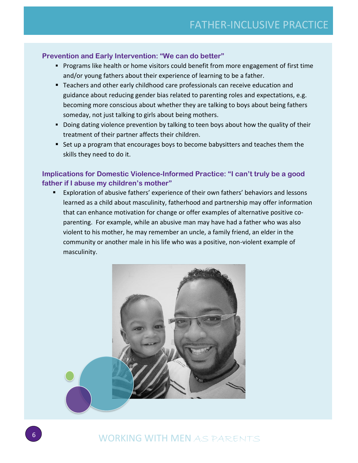## **Prevention and Early Intervention: "We can do better"**

- **Programs like health or home visitors could benefit from more engagement of first time** and/or young fathers about their experience of learning to be a father.
- Teachers and other early childhood care professionals can receive education and guidance about reducing gender bias related to parenting roles and expectations, e.g. becoming more conscious about whether they are talking to boys about being fathers someday, not just talking to girls about being mothers.
- Doing dating violence prevention by talking to teen boys about how the quality of their treatment of their partner affects their children.
- Set up a program that encourages boys to become babysitters and teaches them the skills they need to do it.

## **Implications for Domestic Violence-Informed Practice: "I can't truly be a good father if I abuse my children's mother"**

 Exploration of abusive fathers' experience of their own fathers' behaviors and lessons learned as a child about masculinity, fatherhood and partnership may offer information that can enhance motivation for change or offer examples of alternative positive coparenting. For example, while an abusive man may have had a father who was also violent to his mother, he may remember an uncle, a family friend, an elder in the community or another male in his life who was a positive, non-violent example of masculinity.